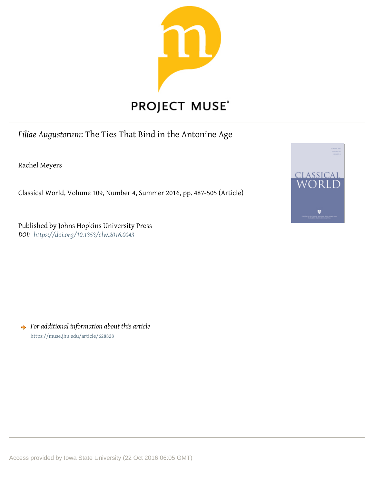

# **PROJECT MUSE®**

## Filiae Augustorum: The Ties That Bind in the Antonine Age

Rachel Meyers

Classical World, Volume 109, Number 4, Summer 2016, pp. 487-505 (Article)

Published by Johns Hopkins University Press *DOI: https://doi.org/10.1353/clw.2016.0043* 



 $\rightarrow$  For additional information about this article https://muse.jhu.edu/article/628828

Access provided by Iowa State University (22 Oct 2016 06:05 GMT)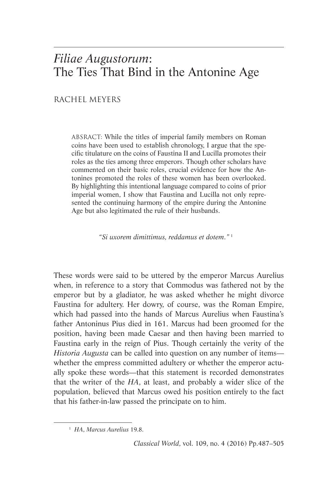## *Filiae Augustorum*: The Ties That Bind in the Antonine Age

### RACHEL Meyers

ABSRACT: While the titles of imperial family members on Roman coins have been used to establish chronology, I argue that the specific titulature on the coins of Faustina II and Lucilla promotes their roles as the ties among three emperors. Though other scholars have commented on their basic roles, crucial evidence for how the Antonines promoted the roles of these women has been overlooked. By highlighting this intentional language compared to coins of prior imperial women, I show that Faustina and Lucilla not only represented the continuing harmony of the empire during the Antonine Age but also legitimated the rule of their husbands.

*"Si uxorem dimittimus, reddamus et dotem*.*"*<sup>1</sup>

These words were said to be uttered by the emperor Marcus Aurelius when, in reference to a story that Commodus was fathered not by the emperor but by a gladiator, he was asked whether he might divorce Faustina for adultery. Her dowry, of course, was the Roman Empire, which had passed into the hands of Marcus Aurelius when Faustina's father Antoninus Pius died in 161. Marcus had been groomed for the position, having been made Caesar and then having been married to Faustina early in the reign of Pius. Though certainly the verity of the *Historia Augusta* can be called into question on any number of items whether the empress committed adultery or whether the emperor actually spoke these words—that this statement is recorded demonstrates that the writer of the *HA*, at least, and probably a wider slice of the population, believed that Marcus owed his position entirely to the fact that his father-in-law passed the principate on to him.

<sup>1</sup> *HA*, *Marcus Aurelius* 19.8.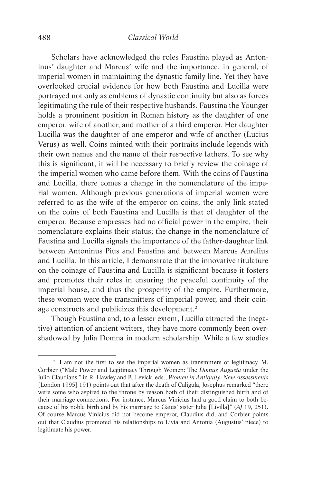#### 488 *Classical World*

Scholars have acknowledged the roles Faustina played as Antoninus' daughter and Marcus' wife and the importance, in general, of imperial women in maintaining the dynastic family line. Yet they have overlooked crucial evidence for how both Faustina and Lucilla were portrayed not only as emblems of dynastic continuity but also as forces legitimating the rule of their respective husbands. Faustina the Younger holds a prominent position in Roman history as the daughter of one emperor, wife of another, and mother of a third emperor. Her daughter Lucilla was the daughter of one emperor and wife of another (Lucius Verus) as well. Coins minted with their portraits include legends with their own names and the name of their respective fathers. To see why this is significant, it will be necessary to briefly review the coinage of the imperial women who came before them. With the coins of Faustina and Lucilla, there comes a change in the nomenclature of the imperial women. Although previous generations of imperial women were referred to as the wife of the emperor on coins, the only link stated on the coins of both Faustina and Lucilla is that of daughter of the emperor. Because empresses had no official power in the empire, their nomenclature explains their status; the change in the nomenclature of Faustina and Lucilla signals the importance of the father-daughter link between Antoninus Pius and Faustina and between Marcus Aurelius and Lucilla. In this article, I demonstrate that the innovative titulature on the coinage of Faustina and Lucilla is significant because it fosters and promotes their roles in ensuring the peaceful continuity of the imperial house, and thus the prosperity of the empire. Furthermore, these women were the transmitters of imperial power, and their coinage constructs and publicizes this development.<sup>2</sup>

Though Faustina and, to a lesser extent, Lucilla attracted the (negative) attention of ancient writers, they have more commonly been overshadowed by Julia Domna in modern scholarship. While a few studies

<sup>&</sup>lt;sup>2</sup> I am not the first to see the imperial women as transmitters of legitimacy. M. Corbier ("Male Power and Legitimacy Through Women: The *Domus Augusta* under the Julio-Claudians," in R. Hawley and B. Levick, eds., *Women in Antiquity: New Assessments* [London 1995] 191) points out that after the death of Caligula, Josephus remarked "there were some who aspired to the throne by reason both of their distinguished birth and of their marriage connections. For instance, Marcus Vinicius had a good claim to both because of his noble birth and by his marriage to Gaius' sister Julia [Livilla]" (*AJ* 19, 251). Of course Marcus Vinicius did not become emperor, Claudius did, and Corbier points out that Claudius promoted his relationships to Livia and Antonia (Augustus' niece) to legitimate his power.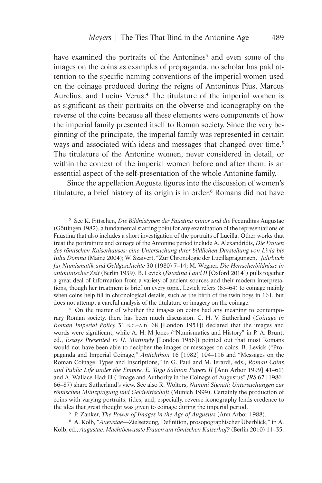have examined the portraits of the Antonines<sup>3</sup> and even some of the images on the coins as examples of propaganda, no scholar has paid attention to the specific naming conventions of the imperial women used on the coinage produced during the reigns of Antoninus Pius, Marcus Aurelius, and Lucius Verus.<sup>4</sup> The titulature of the imperial women is as significant as their portraits on the obverse and iconography on the reverse of the coins because all these elements were components of how the imperial family presented itself to Roman society. Since the very beginning of the principate, the imperial family was represented in certain ways and associated with ideas and messages that changed over time.<sup>5</sup> The titulature of the Antonine women, never considered in detail, or within the context of the imperial women before and after them, is an essential aspect of the self-presentation of the whole Antonine family.

Since the appellation Augusta figures into the discussion of women's titulature, a brief history of its origin is in order.6 Romans did not have

<sup>6</sup> A. Kolb, "Augustae—Zielsetzung, Definition, prosopographischer Überblick," in A. Kolb, ed., *Augustae. Machtbewusste Frauen am römischen Kaiserhof?* (Berlin 2010) 11–35.

<sup>3</sup> See K. Fittschen, *Die Bildnistypen der Faustina minor und die* Fecunditas Augustae (Göttingen 1982), a fundamental starting point for any examination of the representations of Faustina that also includes a short investigation of the portraits of Lucilla. Other works that treat the portraiture and coinage of the Antonine period include A. Alexandridis, *Die Frauen des römischen Kaiserhauses: eine Untersuchung ihrer bildlichen Darstellung von Livia bis Iulia Domna* (Mainz 2004); W. Szaivert, "Zur Chronologie der Lucillaprägungen," *Jahrbuch für Numismatik und Geldgeschichte* 30 (1980) 7–14; M. Wegner, *Die Herrscherbildnisse in antoninischer Zeit* (Berlin 1939). B. Levick (*Faustina I and II* [Oxford 2014]) pulls together a great deal of information from a variety of ancient sources and their modern interpretations, though her treatment is brief on every topic. Levick refers (63–64) to coinage mainly when coins help fill in chronological details, such as the birth of the twin boys in 161, but does not attempt a careful analysis of the titulature or imagery on the coinage.

<sup>4</sup> On the matter of whether the images on coins had any meaning to contemporary Roman society, there has been much discussion. C. H. V. Sutherland (*Coinage in Roman Imperial Policy* 31 B.C.–A.D. 68 [London 1951]) declared that the images and words were significant, while A. H. M Jones ("Numismatics and History" in P. A. Brunt, ed., *Essays Presented to H. Mattingly* [London 1956]) pointed out that most Romans would not have been able to decipher the images or messages on coins. B. Levick ("Propaganda and Imperial Coinage," *Antichthon* 16 [1982] 104–116 and "Messages on the Roman Coinage: Types and Inscriptions," in G. Paul and M. Ierardi, eds., *Roman Coins and Public Life under the Empire. E. Togo Salmon Papers II* [Ann Arbor 1999] 41–61) and A. Wallace-Hadrill ("Image and Authority in the Coinage of Augustus" *JRS* 67 [1986] 66–87) share Sutherland's view. See also R. Wolters, *Nummi Signati: Untersuchungen zur römischen Münzprägung und Geldwirtschaft* (Munich 1999). Certainly the production of coins with varying portraits, titles, and, especially, reverse iconography lends credence to the idea that great thought was given to coinage during the imperial period.

<sup>5</sup> P. Zanker, *The Power of Images in the Age of Augustus* (Ann Arbor 1988).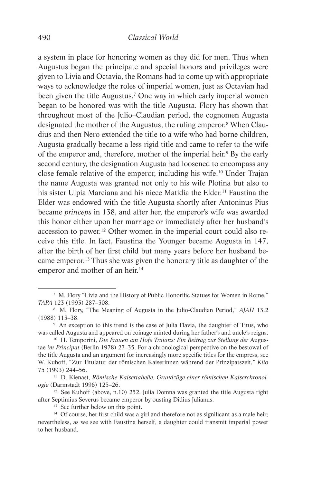a system in place for honoring women as they did for men. Thus when Augustus began the principate and special honors and privileges were given to Livia and Octavia, the Romans had to come up with appropriate ways to acknowledge the roles of imperial women, just as Octavian had been given the title Augustus.7 One way in which early imperial women began to be honored was with the title Augusta. Flory has shown that throughout most of the Julio–Claudian period, the cognomen Augusta designated the mother of the Augustus, the ruling emperor.8 When Claudius and then Nero extended the title to a wife who had borne children, Augusta gradually became a less rigid title and came to refer to the wife of the emperor and, therefore, mother of the imperial heir.<sup>9</sup> By the early second century, the designation Augusta had loosened to encompass any close female relative of the emperor, including his wife.10 Under Trajan the name Augusta was granted not only to his wife Plotina but also to his sister Ulpia Marciana and his niece Matidia the Elder.<sup>11</sup> Faustina the Elder was endowed with the title Augusta shortly after Antoninus Pius became *princeps* in 138, and after her, the emperor's wife was awarded this honor either upon her marriage or immediately after her husband's accession to power.12 Other women in the imperial court could also receive this title. In fact, Faustina the Younger became Augusta in 147, after the birth of her first child but many years before her husband became emperor.13 Thus she was given the honorary title as daughter of the emperor and mother of an heir.<sup>14</sup>

<sup>&</sup>lt;sup>7</sup> M. Flory "Livia and the History of Public Honorific Statues for Women in Rome," *TAPA* 123 (1993) 287–308.

<sup>8</sup> M. Flory, "The Meaning of Augusta in the Julio-Claudian Period," *AJAH* 13.2 (1988) 113–38.

<sup>9</sup> An exception to this trend is the case of Julia Flavia, the daughter of Titus, who was called Augusta and appeared on coinage minted during her father's and uncle's reigns.<br><sup>10</sup> H. Temporini, *Die Frauen am Hofe Traians: Ein Beitrag zur Stellung der* Augus-

tae *im Principat* (Berlin 1978) 27–35. For a chronological perspective on the bestowal of the title Augusta and an argument for increasingly more specific titles for the empress, see W. Kuhoff, "Zur Titulatur der römischen Kaiserinnen während der Prinzipatszeit," *Klio* 75 (1993) 244–56.

<sup>11</sup> D. Kienast, *Römische Kaisertabelle. Grundzüge einer römischen Kaiserchronologie* (Darmstadt 1996) 125–26.

<sup>12</sup> See Kuhoff (above, n.10) 252. Julia Domna was granted the title Augusta right after Septimius Severus became emperor by ousting Didius Julianus. 13 See further below on this point.

 $14$  Of course, her first child was a girl and therefore not as significant as a male heir; nevertheless, as we see with Faustina herself, a daughter could transmit imperial power to her husband.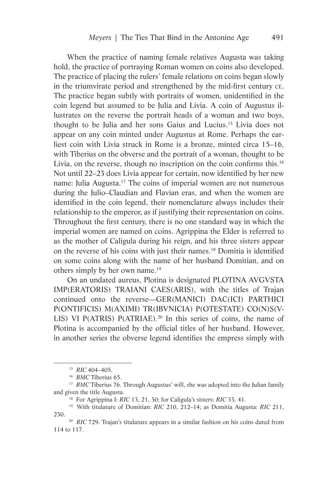When the practice of naming female relatives Augusta was taking hold, the practice of portraying Roman women on coins also developed. The practice of placing the rulers' female relations on coins began slowly in the triumvirate period and strengthened by the mid-first century CE. The practice began subtly with portraits of women, unidentified in the coin legend but assumed to be Julia and Livia. A coin of Augustus illustrates on the reverse the portrait heads of a woman and two boys, thought to be Julia and her sons Gaius and Lucius.15 Livia does not appear on any coin minted under Augustus at Rome. Perhaps the earliest coin with Livia struck in Rome is a bronze, minted circa 15–16, with Tiberius on the obverse and the portrait of a woman, thought to be Livia, on the reverse, though no inscription on the coin confirms this.<sup>16</sup> Not until 22–23 does Livia appear for certain, now identified by her new name: Julia Augusta.17 The coins of imperial women are not numerous during the Julio–Claudian and Flavian eras, and when the women are identified in the coin legend, their nomenclature always includes their relationship to the emperor, as if justifying their representation on coins. Throughout the first century, there is no one standard way in which the imperial women are named on coins. Agrippina the Elder is referred to as the mother of Caligula during his reign, and his three sisters appear on the reverse of his coins with just their names.<sup>18</sup> Domitia is identified on some coins along with the name of her husband Domitian, and on others simply by her own name.19

On an undated aureus, Plotina is designated PLOTINA AVGVSTA IMP(ERATORIS) TRAIANI CAES(ARIS), with the titles of Trajan continued onto the reverse—GER(MANICI) DAC(ICI) PARTHICI P(ONTIFICIS) M(AXIMI) TR(IBVNICIA) P(OTESTATE) CO(N)S(V-LIS) VI P(ATRIS) P(ATRIAE)*.* 20 In this series of coins, the name of Plotina is accompanied by the official titles of her husband. However, in another series the obverse legend identifies the empress simply with

<sup>15</sup>*RIC* 404–405.

<sup>16</sup>*BMC* Tiberius 65.

<sup>&</sup>lt;sup>17</sup> BMC Tiberius 76. Through Augustus' will, she was adopted into the Julian family and given the title Augusta.

<sup>18</sup> For Agrippina I: *RIC* 13, 21, 30; for Caligula's sisters: *RIC* 33, 41.

<sup>19</sup> With titulature of Domitian: *RIC* 210, 212–14; as Domitia Augusta: *RIC* 211, 230.

<sup>20</sup>*RIC* 729. Trajan's titulature appears in a similar fashion on his coins dated from 114 to 117.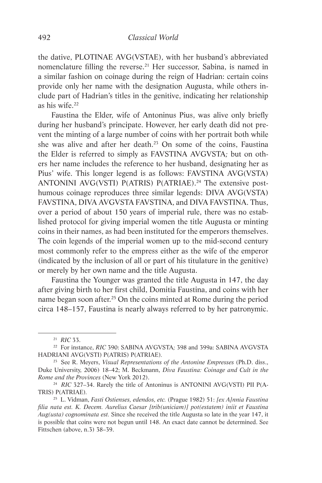the dative, PLOTINAE AVG(VSTAE), with her husband's abbreviated nomenclature filling the reverse.<sup>21</sup> Her successor, Sabina, is named in a similar fashion on coinage during the reign of Hadrian: certain coins provide only her name with the designation Augusta, while others include part of Hadrian's titles in the genitive, indicating her relationship as his wife.22

Faustina the Elder, wife of Antoninus Pius, was alive only briefly during her husband's principate. However, her early death did not prevent the minting of a large number of coins with her portrait both while she was alive and after her death.23 On some of the coins, Faustina the Elder is referred to simply as FAVSTINA AVGVSTA*;* but on others her name includes the reference to her husband, designating her as Pius' wife. This longer legend is as follows: FAVSTINA AVG(VSTA) ANTONINI AVG(VSTI) P(ATRIS) P(ATRIAE).<sup>24</sup> The extensive posthumous coinage reproduces three similar legends: DIVA AVG(VSTA) FAVSTINA, DIVA AVGVSTA FAVSTINA, and DIVA FAVSTINA. Thus, over a period of about 150 years of imperial rule, there was no established protocol for giving imperial women the title Augusta or minting coins in their names, as had been instituted for the emperors themselves. The coin legends of the imperial women up to the mid-second century most commonly refer to the empress either as the wife of the emperor (indicated by the inclusion of all or part of his titulature in the genitive) or merely by her own name and the title Augusta.

Faustina the Younger was granted the title Augusta in 147, the day after giving birth to her first child, Domitia Faustina, and coins with her name began soon after.25 On the coins minted at Rome during the period circa 148–157, Faustina is nearly always referred to by her patronymic.

<sup>21</sup>*RIC* 33.

<sup>22</sup> For instance, *RIC* 390: SABINA AVGVSTA*;* 398 and 399a: SABINA AVGVSTA HADRIANI AVG(VSTI) P(ATRIS) P(ATRIAE)*.*

<sup>23</sup> See R. Meyers, *Visual Representations of the Antonine Empresses* (Ph.D. diss., Duke University, 2006) 18–42; M. Beckmann, *Diva Faustina: Coinage and Cult in the Rome and the Provinces* (New York 2012).

<sup>&</sup>lt;sup>24</sup> *RIC* 327–34. Rarely the title of Antoninus is ANTONINI AVG(VSTI) PII P(A-TRIS) P(ATRIAE)*.*

<sup>25</sup> L. Vidman, *Fasti Ostienses, edendos, etc.* (Prague 1982) 51: *[ex A]nnia Faustina fi lia nata est. K. Decem. Aurelius Caesar [trib(uniciam)] pot(estatem) iniit et Faustina Aug(usta) cognominata est.* Since she received the title Augusta so late in the year 147, it is possible that coins were not begun until 148. An exact date cannot be determined. See Fittschen (above, n.3) 38–39.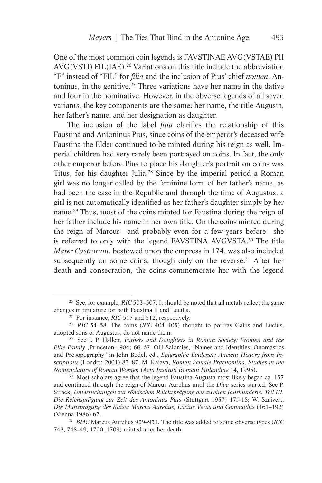One of the most common coin legends is FAVSTINAE AVG(VSTAE) PII AVG(VSTI) FIL(IAE)*.* 26 Variations on this title include the abbreviation "F" instead of "FIL" for *fi lia* and the inclusion of Pius' chief *nomen,* Antoninus, in the genitive.<sup>27</sup> Three variations have her name in the dative and four in the nominative. However, in the obverse legends of all seven variants, the key components are the same: her name, the title Augusta, her father's name, and her designation as daughter.

The inclusion of the label *filia* clarifies the relationship of this Faustina and Antoninus Pius, since coins of the emperor's deceased wife Faustina the Elder continued to be minted during his reign as well. Imperial children had very rarely been portrayed on coins. In fact, the only other emperor before Pius to place his daughter's portrait on coins was Titus, for his daughter Julia.<sup>28</sup> Since by the imperial period a Roman girl was no longer called by the feminine form of her father's name, as had been the case in the Republic and through the time of Augustus, a girl is not automatically identified as her father's daughter simply by her name.29 Thus, most of the coins minted for Faustina during the reign of her father include his name in her own title. On the coins minted during the reign of Marcus—and probably even for a few years before—she is referred to only with the legend FAVSTINA AVGVSTA.<sup>30</sup> The title *Mater Castrorum*, bestowed upon the empress in 174, was also included subsequently on some coins, though only on the reverse.<sup>31</sup> After her death and consecration, the coins commemorate her with the legend

<sup>&</sup>lt;sup>26</sup> See, for example, *RIC* 503–507. It should be noted that all metals reflect the same changes in titulature for both Faustina II and Lucilla.

<sup>27</sup> For instance, *RIC* 517 and 512, respectively.

<sup>28</sup>*RIC* 54–58. The coins (*RIC* 404–405) thought to portray Gaius and Lucius, adopted sons of Augustus, do not name them.

<sup>29</sup> See J. P. Hallett, *Fathers and Daughters in Roman Society: Women and the Elite Family* (Princeton 1984) 66–67; Olli Salomies, "Names and Identities: Onomastics and Prosopography" in John Bodel, ed., *Epigraphic Evidence: Ancient History from Inscriptions* (London 2001) 83–87; M. Kajava, *Roman Female Praenomina. Studies in the Nomenclature of Roman Women* (*Acta Instituti Romani Finlandiae* 14, 1995).

<sup>&</sup>lt;sup>30</sup> Most scholars agree that the legend Faustina Augusta most likely began ca. 157 and continued through the reign of Marcus Aurelius until the *Diva* series started. See P. Strack, *Untersuchungen zur römischen Reichsprägung des zweiten Jahrhunderts. Teil III. Die Reichsprägung zur Zeit des Antoninus Pius* (Stuttgart 1937) 17f–18; W. Szaivert, *Die Münzprägung der Kaiser Marcus Aurelius, Lucius Verus und Commodus* (161–192) (Vienna 1986) 67.

<sup>31</sup>*BMC* Marcus Aurelius 929–931. The title was added to some obverse types (*RIC* 742, 748–49, 1700, 1709) minted after her death.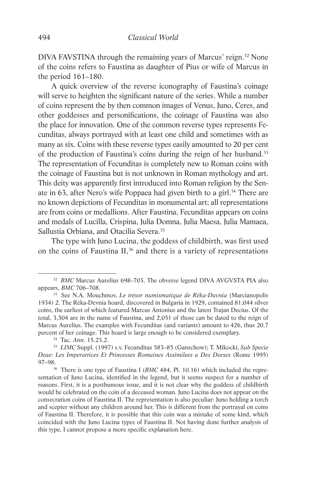DIVA FAVSTINA through the remaining years of Marcus' reign.<sup>32</sup> None of the coins refers to Faustina as daughter of Pius or wife of Marcus in the period 161–180.

A quick overview of the reverse iconography of Faustina's coinage will serve to heighten the significant nature of the series. While a number of coins represent the by then common images of Venus, Juno, Ceres, and other goddesses and personifications, the coinage of Faustina was also the place for innovation. One of the common reverse types represents Fecunditas, always portrayed with at least one child and sometimes with as many as six. Coins with these reverse types easily amounted to 20 per cent of the production of Faustina's coins during the reign of her husband.<sup>33</sup> The representation of Fecunditas is completely new to Roman coins with the coinage of Faustina but is not unknown in Roman mythology and art. This deity was apparently first introduced into Roman religion by the Senate in 63, after Nero's wife Poppaea had given birth to a girl.34 There are no known depictions of Fecunditas in monumental art; all representations are from coins or medallions. After Faustina, Fecunditas appears on coins and medals of Lucilla, Crispina, Julia Domna, Julia Maesa, Julia Mamaea, Sallustia Orbiana, and Otacilia Severa.<sup>35</sup>

The type with Juno Lucina, the goddess of childbirth, was first used on the coins of Faustina II,<sup>36</sup> and there is a variety of representations

<sup>32</sup>*BMC* Marcus Aurelius 698–703. The obverse legend DIVA AVGVSTA PIA also appears, *BMC* 706–708.

<sup>33</sup> See N.A. Mouchmov, *Le trésor numismatique de Réka-Davnia* (Marcianopolis 1934) 2. The Réka-Devnia hoard, discovered in Bulgaria in 1929, contained 81,044 silver coins, the earliest of which featured Marcus Antonius and the latest Trajan Decius. Of the total, 3,504 are in the name of Faustina, and 2,051 of those can be dated to the reign of Marcus Aurelius. The examples with Fecunditas (and variants) amount to 426, thus 20.7 percent of her coinage. This hoard is large enough to be considered exemplary. 34 Tac. *Ann*. 15.23.2.

<sup>35</sup>*LIMC* Suppl. (1997) s.v. Fecunditas 583–85 (Ganschow); T. Mikocki, *Sub Specie Deae: Les Imperatrices Et Princesses Romaines Assimilees a Des Deeses* (Rome 1995) 97–98.<br><sup>36</sup> There is one type of Faustina I (*BMC* 484, Pl. 10.16) which included the repre-

sentation of Juno Lucina, identified in the legend, but it seems suspect for a number of reasons. First, it is a posthumous issue, and it is not clear why the goddess of childbirth would be celebrated on the coin of a deceased woman. Juno Lucina does not appear on the consecration coins of Faustina II. The representation is also peculiar: Juno holding a torch and scepter without any children around her. This is different from the portrayal on coins of Faustina II. Therefore, it is possible that this coin was a mistake of some kind, which coincided with the Juno Lucina types of Faustina II. Not having done further analysis of this type, I cannot propose a more specific explanation here.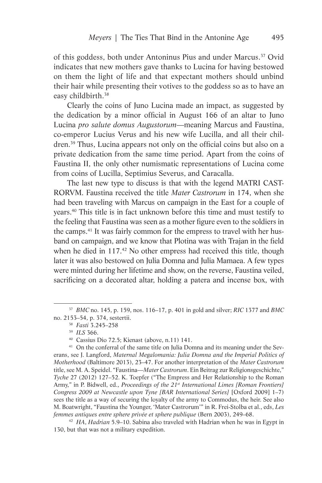of this goddess, both under Antoninus Pius and under Marcus.37 Ovid indicates that new mothers gave thanks to Lucina for having bestowed on them the light of life and that expectant mothers should unbind their hair while presenting their votives to the goddess so as to have an easy childbirth.<sup>38</sup>

Clearly the coins of Juno Lucina made an impact, as suggested by the dedication by a minor official in August 166 of an altar to Juno Lucina *pro salute domus Augustorum*—meaning Marcus and Faustina, co-emperor Lucius Verus and his new wife Lucilla, and all their children.<sup>39</sup> Thus, Lucina appears not only on the official coins but also on a private dedication from the same time period. Apart from the coins of Faustina II, the only other numismatic representations of Lucina come from coins of Lucilla, Septimius Severus, and Caracalla.

The last new type to discuss is that with the legend MATRI CAST-RORVM. Faustina received the title *Mater Castrorum* in 174, when she had been traveling with Marcus on campaign in the East for a couple of years.40 This title is in fact unknown before this time and must testify to the feeling that Faustina was seen as a mother figure even to the soldiers in the camps.<sup>41</sup> It was fairly common for the empress to travel with her husband on campaign, and we know that Plotina was with Trajan in the field when he died in 117.<sup>42</sup> No other empress had received this title, though later it was also bestowed on Julia Domna and Julia Mamaea. A few types were minted during her lifetime and show, on the reverse, Faustina veiled, sacrificing on a decorated altar, holding a patera and incense box, with

<sup>37</sup>*BMC* no. 145, p. 159, nos. 116–17, p. 401 in gold and silver; *RIC* 1377 and *BMC* no. 2153–54, p. 374, sestertii.

<sup>38</sup>*Fasti* 3.245–258

<sup>39</sup>*ILS* 366.

<sup>40</sup> Cassius Dio 72.5; Kienast (above, n.11) 141.

<sup>41</sup> On the conferral of the same title on Julia Domna and its meaning under the Severans, see J. Langford, *Maternal Megalomania: Julia Domna and the Imperial Politics of Motherhood* (Baltimore 2013), 23–47. For another interpretation of the *Mater Castrorum* title, see M. A. Speidel. "Faustina—*Mater Castrorum*. Ein Beitrag zur Religionsgeschichte," *Tyche* 27 (2012) 127–52. K. Toepfer ("The Empress and Her Relationship to the Roman Army," in P. Bidwell, ed., *Proceedings of the 21st International Limes [Roman Frontiers] Congress 2009 at Newcastle upon Tyne [BAR International Series]* [Oxford 2009] 1–7) sees the title as a way of securing the loyalty of the army to Commodus, the heir. See also M. Boatwright, "Faustina the Younger, 'Mater Castrorum'" in R. Frei-Stolba et al., eds, *Les femmes antiques entre sphere privée et sphere publique* (Bern 2003), 249–68.

<sup>42</sup>*HA*, *Hadrian* 5.9–10. Sabina also traveled with Hadrian when he was in Egypt in 130, but that was not a military expedition.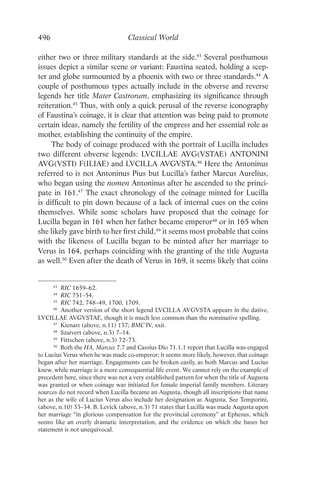either two or three military standards at the side.<sup>43</sup> Several posthumous issues depict a similar scene or variant: Faustina seated, holding a scepter and globe surmounted by a phoenix with two or three standards.<sup>44</sup> A couple of posthumous types actually include in the obverse and reverse legends her title *Mater Castrorum*, emphasizing its significance through reiteration.45 Thus, with only a quick perusal of the reverse iconography of Faustina's coinage, it is clear that attention was being paid to promote certain ideas, namely the fertility of the empress and her essential role as mother, establishing the continuity of the empire.

The body of coinage produced with the portrait of Lucilla includes two different obverse legends: LVCILLAE AVG(VSTAE) ANTONINI AVG(VSTI) F(ILIAE) and LVCILLA AVGVSTA.46 Here the Antoninus referred to is not Antoninus Pius but Lucilla's father Marcus Aurelius, who began using the *nomen* Antoninus after he ascended to the principate in 161.47 The exact chronology of the coinage minted for Lucilla is difficult to pin down because of a lack of internal cues on the coins themselves. While some scholars have proposed that the coinage for Lucilla began in 161 when her father became emperor<sup>48</sup> or in 165 when she likely gave birth to her first child, $49$  it seems most probable that coins with the likeness of Lucilla began to be minted after her marriage to Verus in 164, perhaps coinciding with the granting of the title Augusta as well.<sup>50</sup> Even after the death of Verus in 169, it seems likely that coins

- 48 Szaivert (above, n.3) 7–14.
- 49 Fittschen (above, n.3) 72–73.

50 Both the *HA, Marcus* 7.7 and Cassius Dio 71.1.1 report that Lucilla was engaged to Lucius Verus when he was made co-emperor; it seems more likely, however, that coinage began after her marriage. Engagements can be broken easily, as both Marcus and Lucius knew, while marriage is a more consequential life event. We cannot rely on the example of precedent here, since there was not a very established pattern for when the title of Augusta was granted or when coinage was initiated for female imperial family members. Literary sources do not record when Lucilla became an Augusta, though all inscriptions that name her as the wife of Lucius Verus also include her designation as Augusta. See Temporini, (above, n.10) 33–34. B. Levick (above, n.3) 71 states that Lucilla was made Augusta upon her marriage "in glorious compensation for the provincial ceremony" at Ephesus, which seems like an overly dramatic interpretation, and the evidence on which she bases her statement is not unequivocal.

<sup>43</sup>*RIC* 1659–62.

<sup>44</sup>*RIC* 751–54.

<sup>45</sup>*RIC* 742, 748–49, 1700, 1709.

<sup>46</sup> Another version of the short legend LVCILLA AVGVSTA appears in the dative, LVCILLAE AVGVSTAE, though it is much less common than the nominative spelling.

<sup>47</sup> Kienast (above, n.11) 137; *BMC* IV, xxii.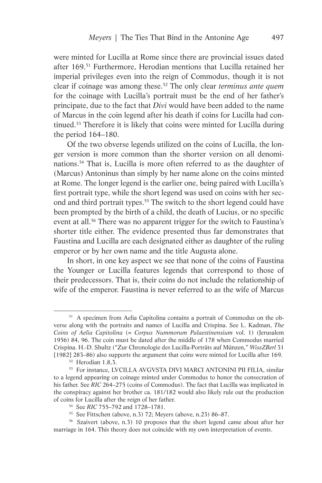were minted for Lucilla at Rome since there are provincial issues dated after 169.51 Furthermore, Herodian mentions that Lucilla retained her imperial privileges even into the reign of Commodus, though it is not clear if coinage was among these.52 The only clear *terminus ante quem* for the coinage with Lucilla's portrait must be the end of her father's principate, due to the fact that *Divi* would have been added to the name of Marcus in the coin legend after his death if coins for Lucilla had continued.53 Therefore it is likely that coins were minted for Lucilla during the period 164–180.

Of the two obverse legends utilized on the coins of Lucilla, the longer version is more common than the shorter version on all denominations.54 That is, Lucilla is more often referred to as the daughter of (Marcus) Antoninus than simply by her name alone on the coins minted at Rome. The longer legend is the earlier one, being paired with Lucilla's first portrait type, while the short legend was used on coins with her second and third portrait types.<sup>55</sup> The switch to the short legend could have been prompted by the birth of a child, the death of Lucius, or no specific event at all.<sup>56</sup> There was no apparent trigger for the switch to Faustina's shorter title either. The evidence presented thus far demonstrates that Faustina and Lucilla are each designated either as daughter of the ruling emperor or by her own name and the title Augusta alone.

In short, in one key aspect we see that none of the coins of Faustina the Younger or Lucilla features legends that correspond to those of their predecessors. That is, their coins do not include the relationship of wife of the emperor. Faustina is never referred to as the wife of Marcus

<sup>51</sup> A specimen from Aelia Capitolina contains a portrait of Commodus on the obverse along with the portraits and names of Lucilla and Crispina. See L. Kadman, *The Coins of Aelia Capitolina* (= *Corpus Nummorum Palaestinensium* vol. 1) (Jerusalem 1956) 84, 96. The coin must be dated after the middle of 178 when Commodus married Crispina. H.-D. Shultz ("Zur Chronologie des Lucilla-Porträts auf Münzen," *WissZBerl* 31 [1982] 283–86) also supports the argument that coins were minted for Lucilla after 169.<br><sup>52</sup> Herodian 1.8,3.

<sup>&</sup>lt;sup>53</sup> For instance, LVCILLA AVGVSTA DIVI MARCI ANTONINI PII FILIA, similar to a legend appearing on coinage minted under Commodus to honor the consecration of his father. See *RIC* 264–275 (coins of Commodus). The fact that Lucilla was implicated in the conspiracy against her brother ca. 181/182 would also likely rule out the production of coins for Lucilla after the reign of her father.

<sup>54</sup> See *RIC* 755–792 and 1728–1781.

<sup>&</sup>lt;sup>56</sup> Szaivert (above, n.3) 10 proposes that the short legend came about after her marriage in 164. This theory does not coincide with my own interpretation of events.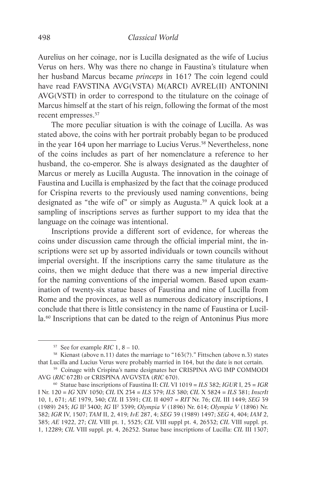Aurelius on her coinage, nor is Lucilla designated as the wife of Lucius Verus on hers. Why was there no change in Faustina's titulature when her husband Marcus became *princeps* in 161? The coin legend could have read FAVSTINA AVG(VSTA) M(ARCI) AVREL(II) ANTONINI AVG(VSTI) in order to correspond to the titulature on the coinage of Marcus himself at the start of his reign, following the format of the most recent empresses.57

The more peculiar situation is with the coinage of Lucilla. As was stated above, the coins with her portrait probably began to be produced in the year 164 upon her marriage to Lucius Verus.<sup>58</sup> Nevertheless, none of the coins includes as part of her nomenclature a reference to her husband, the co-emperor. She is always designated as the daughter of Marcus or merely as Lucilla Augusta. The innovation in the coinage of Faustina and Lucilla is emphasized by the fact that the coinage produced for Crispina reverts to the previously used naming conventions, being designated as "the wife of" or simply as Augusta.<sup>59</sup> A quick look at a sampling of inscriptions serves as further support to my idea that the language on the coinage was intentional.

Inscriptions provide a different sort of evidence, for whereas the coins under discussion came through the official imperial mint, the inscriptions were set up by assorted individuals or town councils without imperial oversight. If the inscriptions carry the same titulature as the coins, then we might deduce that there was a new imperial directive for the naming conventions of the imperial women. Based upon examination of twenty-six statue bases of Faustina and nine of Lucilla from Rome and the provinces, as well as numerous dedicatory inscriptions, I conclude that there is little consistency in the name of Faustina or Lucilla.<sup>60</sup> Inscriptions that can be dated to the reign of Antoninus Pius more

 $57$  See for example *RIC* 1,  $8 - 10$ .

<sup>58</sup> Kienast (above n.11) dates the marriage to "163(?)." Fittschen (above n.3) states that Lucilla and Lucius Verus were probably married in 164, but the date is not certain.

<sup>59</sup> Coinage with Crispina's name designates her CRISPINA AVG IMP COMMODI AVG (*RIC* 672B) or CRISPINA AVGVSTA (*RIC* 670).

<sup>60</sup> Statue base inscriptions of Faustina II: *CIL* VI 1019 = *ILS* 382; *IGUR* I, 25 = *IGR* I Nr. 120 = *IG* XIV 1050; *CIL* IX 234 = *ILS* 379; *ILS* 380; *CIL* X 5824 = *ILS* 381; *InscrIt* 10, 1, 671; *AE* 1979, 340; *CIL* II 3391; *CIL* II 4097 = *RIT* Nr. 76; *CIL* III 1449; *SEG* 39 (1989) 245; *IG* II2 3400; *IG* II2 3399; *Olympia V* (1896) Nr. 614; *Olympia V* (1896) Nr. 382; *IGR* IV, 1507; *TAM* II, 2, 419; *IvE* 287, 4; *SEG* 39 (1989) 1497; *SEG* 4, 404; *IAM* 2, 385; *AE* 1922, 27; *CIL* VIII pt. 1, 5525; *CIL* VIII suppl pt. 4, 26532; *CIL* VIII suppl. pt. 1, 12289; *CIL* VIII suppl. pt. 4, 26252. Statue base inscriptions of Lucilla: *CIL* III 1307;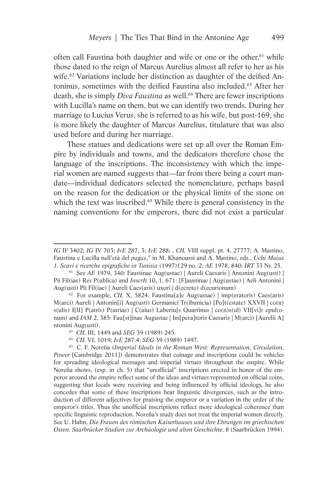often call Faustina both daughter and wife or one or the other, $61$  while those dated to the reign of Marcus Aurelius almost all refer to her as his wife.<sup>62</sup> Variations include her distinction as daughter of the deified Antoninus, sometimes with the deified Faustina also included.<sup>63</sup> After her death, she is simply *Diva Faustina* as well.<sup>64</sup> There are fewer inscriptions with Lucilla's name on them, but we can identify two trends. During her marriage to Lucius Verus, she is referred to as his wife, but post-169, she is more likely the daughter of Marcus Aurelius, titulature that was also used before and during her marriage.

These statues and dedications were set up all over the Roman Empire by individuals and towns, and the dedicators therefore chose the language of the inscriptions. The inconsistency with which the imperial women are named suggests that—far from there being a court mandate—individual dedicators selected the nomenclature, perhaps based on the reason for the dedication or the physical limits of the stone on which the text was inscribed.<sup>65</sup> While there is general consistency in the naming conventions for the emperors, there did not exist a particular

*IG* II2 3402; *IG* IV 703; *IvE* 287, 3; *IvE* 288; , *CIL* VIII suppl. pt. 4, 27777; A. Mastino, Faustina e Lucilla nell'età del *pagus*," in M. Khanoussi and A. Mastino, eds., *Uchi Maius 1. Scavi e ricerche epigrafi che in Tunisia* (1997)129 no. 2; *AE* 1978, 840; *IRT* 33 Nr. 25. 61 See *AE* 1979, 340: Faustinae Aug(ustae) | Aureli Caesaris | Antonini Aug(usti) |

Pii Fil(iae) Res P(ublica) and *InscrIt* 10, 1, 671: [F]austinae | Aug(ustae) | Aeli Antonini | Aug(usti) Pii Fil(iae) | Aureli Caes(aris) uxori | d(ecreto) d(ecurionum)

<sup>62</sup> For example, *CIL* X, 5824: Faustina[a]e Aug(ustae) | imp(eratoris) Caes(aris) M(arci) Aureli | Antonin[i] Aug(usti) Germanici Tr(ibunicia) [Po]t(estate) XXVII | co(n) s(ulis) I[II] P(atris) P(atriae) | C(aius) Laberiu[s Quartinus |  $co(n)s(ul)$  VII[vi]r epul(onum) and *IAM* 2, 385: Fau<sup>[st]</sup>inae Augustae | Im<sup>[</sup>pera]toris Caesaris | M(arci) [Aurelii A] ntonini Aug(usti).

<sup>63</sup>*CIL* III, 1449 and *SEG* 39 (1989) 245.

<sup>64</sup>*CIL* VI, 1019; *IvE* 287.4; *SEG* 39 (1989) 1497.

<sup>65</sup> C. F. Noreña (*Imperial Ideals in the Roman West: Representation, Circulation, Power* [Cambridge 2011]) demonstrates that coinage and inscriptions could be vehicles for spreading ideological messages and imperial virtues throughout the empire. While Noreña shows, (esp. in ch. 5) that "unofficial" inscriptions erected in honor of the emperor around the empire reflect some of the ideas and virtues represented on official coins, suggesting that locals were receiving and being influenced by official ideology, he also concedes that some of these inscriptions bear linguistic divergences, such as the introduction of different adjectives for praising the emperor or a variation in the order of the emperor's titles. Thus the unofficial inscriptions reflect more ideological coherence than specific linguistic reproduction. Noreña's study does not treat the imperial women directly. See U. Hahn, *Die Frauen des römischen Kaiserhauses und ihre Ehrungen im griechischen Osten. Saarbrücker Studien zur Archäologie und alten Geschichte,* 8 (Saarbrücken 1994).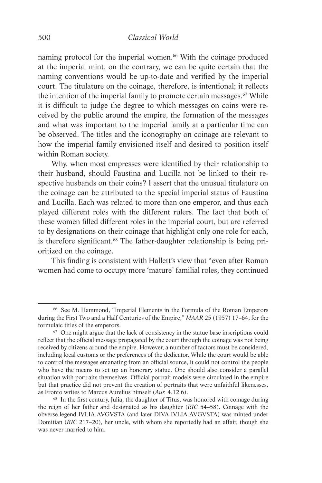naming protocol for the imperial women.<sup>66</sup> With the coinage produced at the imperial mint, on the contrary, we can be quite certain that the naming conventions would be up-to-date and verified by the imperial court. The titulature on the coinage, therefore, is intentional; it reflects the intention of the imperial family to promote certain messages.<sup>67</sup> While it is difficult to judge the degree to which messages on coins were received by the public around the empire, the formation of the messages and what was important to the imperial family at a particular time can be observed. The titles and the iconography on coinage are relevant to how the imperial family envisioned itself and desired to position itself within Roman society.

Why, when most empresses were identified by their relationship to their husband, should Faustina and Lucilla not be linked to their respective husbands on their coins? I assert that the unusual titulature on the coinage can be attributed to the special imperial status of Faustina and Lucilla. Each was related to more than one emperor, and thus each played different roles with the different rulers. The fact that both of these women filled different roles in the imperial court, but are referred to by designations on their coinage that highlight only one role for each, is therefore significant.<sup>68</sup> The father-daughter relationship is being prioritized on the coinage.

This finding is consistent with Hallett's view that "even after Roman" women had come to occupy more 'mature' familial roles, they continued

<sup>66</sup> See M. Hammond, "Imperial Elements in the Formula of the Roman Emperors during the First Two and a Half Centuries of the Empire," *MAAR* 25 (1957) 17–64, for the formulaic titles of the emperors.<br><sup>67</sup> One might argue that the lack of consistency in the statue base inscriptions could

reflect that the official message propagated by the court through the coinage was not being received by citizens around the empire. However, a number of factors must be considered, including local customs or the preferences of the dedicator. While the court would be able to control the messages emanating from an official source, it could not control the people who have the means to set up an honorary statue. One should also consider a parallel situation with portraits themselves. Official portrait models were circulated in the empire but that practice did not prevent the creation of portraits that were unfaithful likenesses, as Fronto writes to Marcus Aurelius himself (*Aur.* 4.12.6).<br><sup>68</sup> In the first century, Julia, the daughter of Titus, was honored with coinage during

the reign of her father and designated as his daughter (*RIC* 54–58). Coinage with the obverse legend IVLIA AVGVSTA (and later DIVA IVLIA AVGVSTA) was minted under Domitian (*RIC* 217–20), her uncle, with whom she reportedly had an affair, though she was never married to him.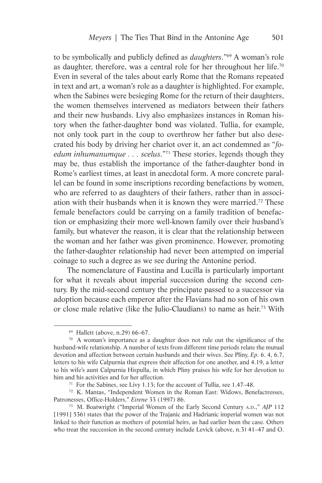to be symbolically and publicly defined as *daughters*."<sup>69</sup> A woman's role as daughter, therefore, was a central role for her throughout her life.<sup>70</sup> Even in several of the tales about early Rome that the Romans repeated in text and art, a woman's role as a daughter is highlighted. For example, when the Sabines were besieging Rome for the return of their daughters, the women themselves intervened as mediators between their fathers and their new husbands. Livy also emphasizes instances in Roman history when the father-daughter bond was violated. Tullia, for example, not only took part in the coup to overthrow her father but also desecrated his body by driving her chariot over it, an act condemned as "*foedum inhumanumque . . . scelus*."71 These stories, legends though they may be, thus establish the importance of the father-daughter bond in Rome's earliest times, at least in anecdotal form. A more concrete parallel can be found in some inscriptions recording benefactions by women, who are referred to as daughters of their fathers, rather than in association with their husbands when it is known they were married.72 These female benefactors could be carrying on a family tradition of benefaction or emphasizing their more well-known family over their husband's family, but whatever the reason, it is clear that the relationship between the woman and her father was given prominence. However, promoting the father-daughter relationship had never been attempted on imperial coinage to such a degree as we see during the Antonine period.

The nomenclature of Faustina and Lucilla is particularly important for what it reveals about imperial succession during the second century. By the mid-second century the principate passed to a successor via adoption because each emperor after the Flavians had no son of his own or close male relative (like the Julio-Claudians) to name as heir.73 With

<sup>69</sup> Hallett (above, n.29) 66–67.

 $70$  A woman's importance as a daughter does not rule out the significance of the husband-wife relationship. A number of texts from different time periods relate the mutual devotion and affection between certain husbands and their wives. See Pliny, *Ep.* 6. 4, 6.7, letters to his wife Calpurnia that express their affection for one another, and 4.19, a letter to his wife's aunt Calpurnia Hispulla, in which Pliny praises his wife for her devotion to him and his activities and for her affection.

<sup>71</sup> For the Sabines, see Livy 1.13; for the account of Tullia, see 1.47–48.

<sup>72</sup> K. Mantas, "Independent Women in the Roman East: Widows, Benefactresses, Patronesses, Office-Holders," *Eirene* 33 (1997) 86.

<sup>73</sup> M. Boatwright ("Imperial Women of the Early Second Century A.D.," *AJP* 112 [1991] 536) states that the power of the Trajanic and Hadrianic imperial women was not linked to their function as mothers of potential heirs, as had earlier been the case. Others who treat the succession in the second century include Levick (above, n.3) 41–47 and O.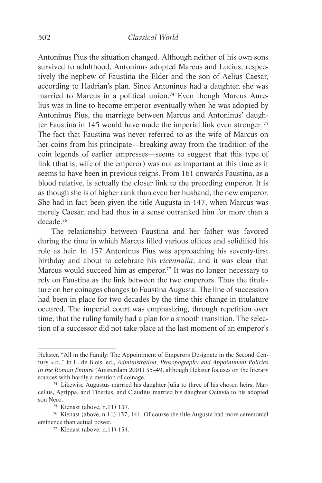Antoninus Pius the situation changed. Although neither of his own sons survived to adulthood, Antoninus adopted Marcus and Lucius, respectively the nephew of Faustina the Elder and the son of Aelius Caesar, according to Hadrian's plan. Since Antoninus had a daughter, she was married to Marcus in a political union.<sup>74</sup> Even though Marcus Aurelius was in line to become emperor eventually when he was adopted by Antoninus Pius, the marriage between Marcus and Antoninus' daughter Faustina in 145 would have made the imperial link even stronger. 75 The fact that Faustina was never referred to as the wife of Marcus on her coins from his principate—breaking away from the tradition of the coin legends of earlier empresses—seems to suggest that this type of link (that is, wife of the emperor) was not as important at this time as it seems to have been in previous reigns. From 161 onwards Faustina, as a blood relative, is actually the closer link to the preceding emperor. It is as though she is of higher rank than even her husband, the new emperor. She had in fact been given the title Augusta in 147, when Marcus was merely Caesar, and had thus in a sense outranked him for more than a decade.76

The relationship between Faustina and her father was favored during the time in which Marcus filled various offices and solidified his role as heir. In 157 Antoninus Pius was approaching his seventy-first birthday and about to celebrate his *vicennalia*, and it was clear that Marcus would succeed him as emperor.<sup>77</sup> It was no longer necessary to rely on Faustina as the link between the two emperors. Thus the titulature on her coinages changes to Faustina Augusta. The line of succession had been in place for two decades by the time this change in titulature occured. The imperial court was emphasizing, through repetition over time, that the ruling family had a plan for a smooth transition. The selection of a successor did not take place at the last moment of an emperor's

Hekster, "All in the Family: The Appointment of Emperors Designate in the Second Century A.D.," in L. de Blois, ed., *Administration, Prosopography and Appointment Policies in the Roman Empire* (Amsterdam 2001) 35–49, although Hekster focuses on the literary sources with hardly a mention of coinage.

<sup>74</sup> Likewise Augustus married his daughter Julia to three of his chosen heirs, Marcellus, Agrippa, and Tiberius, and Claudius married his daughter Octavia to his adopted son Nero.

<sup>75</sup> Kienast (above, n.11) 137.

<sup>76</sup> Kienast (above, n.11) 137, 141. Of course the title Augusta had more ceremonial eminence than actual power.

<sup>77</sup> Kienast (above, n.11) 134.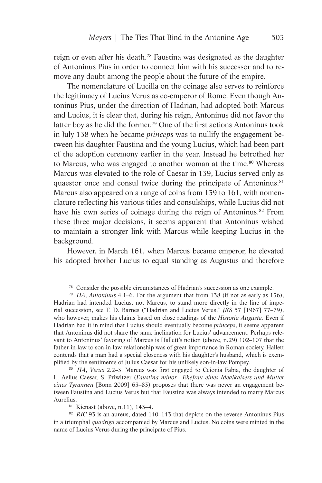reign or even after his death.78 Faustina was designated as the daughter of Antoninus Pius in order to connect him with his successor and to remove any doubt among the people about the future of the empire.

The nomenclature of Lucilla on the coinage also serves to reinforce the legitimacy of Lucius Verus as co-emperor of Rome. Even though Antoninus Pius, under the direction of Hadrian, had adopted both Marcus and Lucius, it is clear that, during his reign, Antoninus did not favor the latter boy as he did the former.<sup>79</sup> One of the first actions Antoninus took in July 138 when he became *princeps* was to nullify the engagement between his daughter Faustina and the young Lucius, which had been part of the adoption ceremony earlier in the year. Instead he betrothed her to Marcus, who was engaged to another woman at the time.<sup>80</sup> Whereas Marcus was elevated to the role of Caesar in 139, Lucius served only as quaestor once and consul twice during the principate of Antoninus.<sup>81</sup> Marcus also appeared on a range of coins from 139 to 161, with nomenclature reflecting his various titles and consulships, while Lucius did not have his own series of coinage during the reign of Antoninus.<sup>82</sup> From these three major decisions, it seems apparent that Antoninus wished to maintain a stronger link with Marcus while keeping Lucius in the background.

However, in March 161, when Marcus became emperor, he elevated his adopted brother Lucius to equal standing as Augustus and therefore

<sup>78</sup> Consider the possible circumstances of Hadrian's succession as one example.

<sup>79</sup>*HA*, *Antoninus* 4.1–6. For the argument that from 138 (if not as early as 136), Hadrian had intended Lucius, not Marcus, to stand more directly in the line of imperial succession, see T. D. Barnes ("Hadrian and Lucius Verus," *JRS* 57 [1967] 77–79), who however, makes his claims based on close readings of the *Historia Augusta*. Even if Hadrian had it in mind that Lucius should eventually become *princeps*, it seems apparent that Antoninus did not share the same inclination for Lucius' advancement. Perhaps relevant to Antoninus' favoring of Marcus is Hallett's notion (above, n.29) 102–107 that the father-in-law to son-in-law relationship was of great importance in Roman society. Hallett contends that a man had a special closeness with his daughter's husband, which is exemplified by the sentiments of Julius Caesar for his unlikely son-in-law Pompey.<br><sup>80</sup> *HA*, *Verus* 2.2–3. Marcus was first engaged to Ceionia Fabia, the daughter of

L. Aelius Caesar. S. Priwitzer (*Faustina minor—Ehefrau eines Idealkaisers und Mutter eines Tyrannen* [Bonn 2009] 63–83) proposes that there was never an engagement between Faustina and Lucius Verus but that Faustina was always intended to marry Marcus Aurelius.

<sup>81</sup> Kienast (above, n.11), 143–4.

<sup>82</sup>*RIC* 93 is an aureus, dated 140–143 that depicts on the reverse Antoninus Pius in a triumphal *quadriga* accompanied by Marcus and Lucius. No coins were minted in the name of Lucius Verus during the principate of Pius.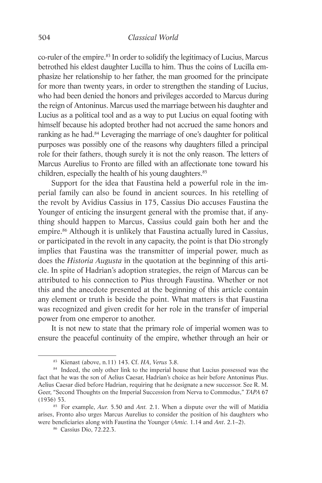co-ruler of the empire.<sup>83</sup> In order to solidify the legitimacy of Lucius, Marcus betrothed his eldest daughter Lucilla to him. Thus the coins of Lucilla emphasize her relationship to her father, the man groomed for the principate for more than twenty years, in order to strengthen the standing of Lucius, who had been denied the honors and privileges accorded to Marcus during the reign of Antoninus. Marcus used the marriage between his daughter and Lucius as a political tool and as a way to put Lucius on equal footing with himself because his adopted brother had not accrued the same honors and ranking as he had.<sup>84</sup> Leveraging the marriage of one's daughter for political purposes was possibly one of the reasons why daughters filled a principal role for their fathers, though surely it is not the only reason. The letters of Marcus Aurelius to Fronto are filled with an affectionate tone toward his children, especially the health of his young daughters.<sup>85</sup>

Support for the idea that Faustina held a powerful role in the imperial family can also be found in ancient sources. In his retelling of the revolt by Avidius Cassius in 175, Cassius Dio accuses Faustina the Younger of enticing the insurgent general with the promise that, if anything should happen to Marcus, Cassius could gain both her and the empire.<sup>86</sup> Although it is unlikely that Faustina actually lured in Cassius, or participated in the revolt in any capacity, the point is that Dio strongly implies that Faustina was the transmitter of imperial power, much as does the *Historia Augusta* in the quotation at the beginning of this article. In spite of Hadrian's adoption strategies, the reign of Marcus can be attributed to his connection to Pius through Faustina. Whether or not this and the anecdote presented at the beginning of this article contain any element or truth is beside the point. What matters is that Faustina was recognized and given credit for her role in the transfer of imperial power from one emperor to another.

It is not new to state that the primary role of imperial women was to ensure the peaceful continuity of the empire, whether through an heir or

<sup>83</sup> Kienast (above, n.11) 143. Cf. *HA*, *Verus* 3.8.

<sup>&</sup>lt;sup>84</sup> Indeed, the only other link to the imperial house that Lucius possessed was the fact that he was the son of Aelius Caesar, Hadrian's choice as heir before Antoninus Pius. Aelius Caesar died before Hadrian, requiring that he designate a new successor. See R. M. Geer, "Second Thoughts on the Imperial Succession from Nerva to Commodus," *TAPA* 67 (1936) 53.

<sup>85</sup> For example, *Aur.* 5.50 and *Ant.* 2.1. When a dispute over the will of Matidia arises, Fronto also urges Marcus Aurelius to consider the position of his daughters who were beneficiaries along with Faustina the Younger (*Amic.* 1.14 and *Ant.* 2.1–2).

<sup>86</sup> Cassius Dio, 72.22.3.